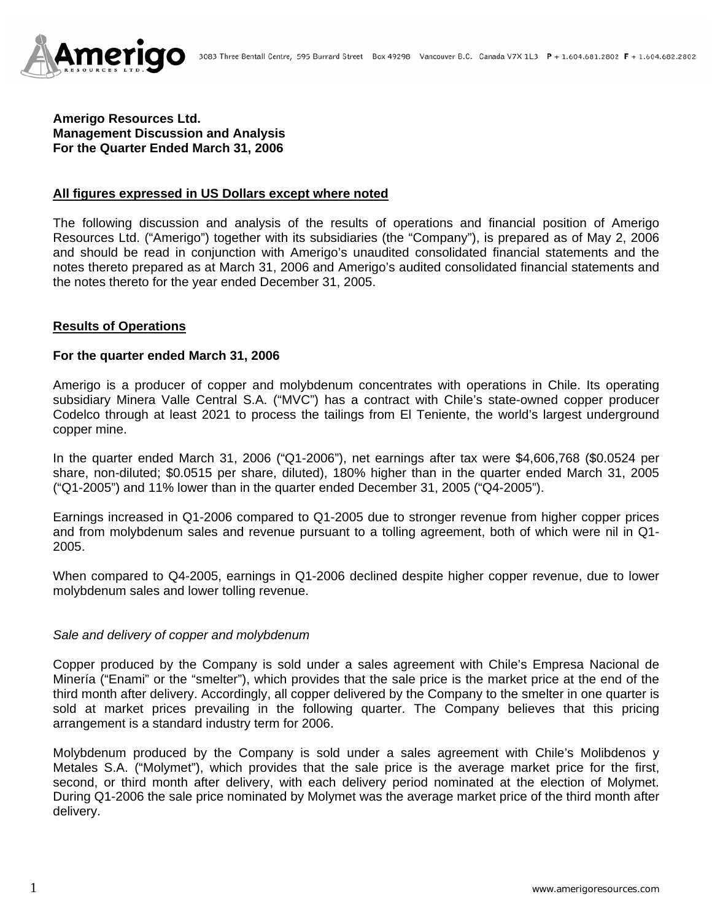

## **Amerigo Resources Ltd. Management Discussion and Analysis For the Quarter Ended March 31, 2006**

### **All figures expressed in US Dollars except where noted**

The following discussion and analysis of the results of operations and financial position of Amerigo Resources Ltd. ("Amerigo") together with its subsidiaries (the "Company"), is prepared as of May 2, 2006 and should be read in conjunction with Amerigo's unaudited consolidated financial statements and the notes thereto prepared as at March 31, 2006 and Amerigo's audited consolidated financial statements and the notes thereto for the year ended December 31, 2005.

### **Results of Operations**

#### **For the quarter ended March 31, 2006**

Amerigo is a producer of copper and molybdenum concentrates with operations in Chile. Its operating subsidiary Minera Valle Central S.A. ("MVC") has a contract with Chile's state-owned copper producer Codelco through at least 2021 to process the tailings from El Teniente, the world's largest underground copper mine.

In the quarter ended March 31, 2006 ("Q1-2006"), net earnings after tax were \$4,606,768 (\$0.0524 per share, non-diluted; \$0.0515 per share, diluted), 180% higher than in the quarter ended March 31, 2005 ("Q1-2005") and 11% lower than in the quarter ended December 31, 2005 ("Q4-2005").

Earnings increased in Q1-2006 compared to Q1-2005 due to stronger revenue from higher copper prices and from molybdenum sales and revenue pursuant to a tolling agreement, both of which were nil in Q1- 2005.

When compared to Q4-2005, earnings in Q1-2006 declined despite higher copper revenue, due to lower molybdenum sales and lower tolling revenue.

### *Sale and delivery of copper and molybdenum*

Copper produced by the Company is sold under a sales agreement with Chile's Empresa Nacional de Minería ("Enami" or the "smelter"), which provides that the sale price is the market price at the end of the third month after delivery. Accordingly, all copper delivered by the Company to the smelter in one quarter is sold at market prices prevailing in the following quarter. The Company believes that this pricing arrangement is a standard industry term for 2006.

Molybdenum produced by the Company is sold under a sales agreement with Chile's Molibdenos y Metales S.A. ("Molymet"), which provides that the sale price is the average market price for the first, second, or third month after delivery, with each delivery period nominated at the election of Molymet. During Q1-2006 the sale price nominated by Molymet was the average market price of the third month after delivery.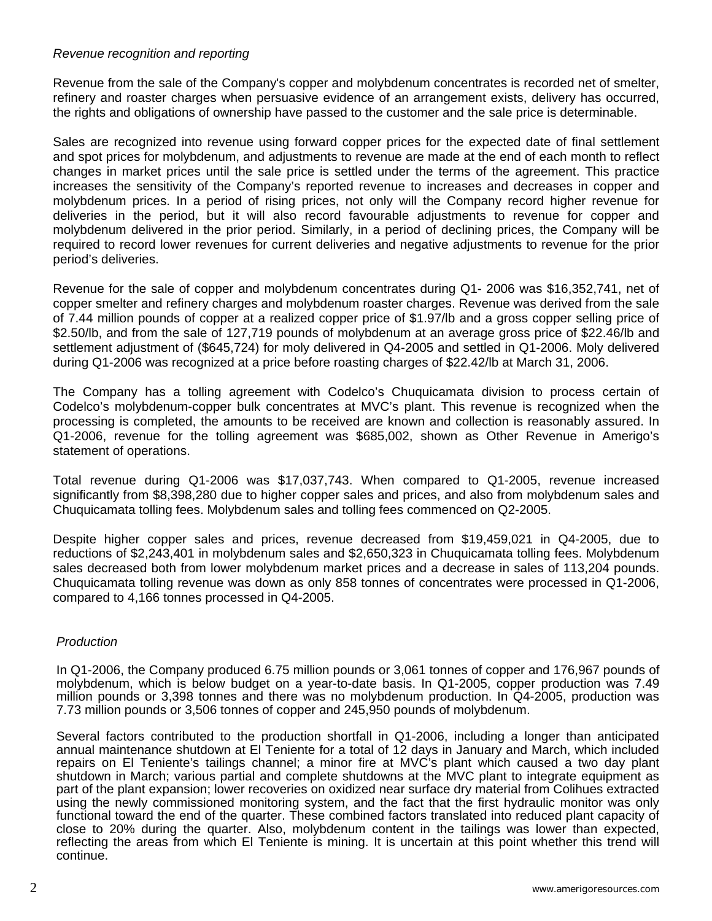## *Revenue recognition and reporting*

Revenue from the sale of the Company's copper and molybdenum concentrates is recorded net of smelter, refinery and roaster charges when persuasive evidence of an arrangement exists, delivery has occurred, the rights and obligations of ownership have passed to the customer and the sale price is determinable.

Sales are recognized into revenue using forward copper prices for the expected date of final settlement and spot prices for molybdenum, and adjustments to revenue are made at the end of each month to reflect changes in market prices until the sale price is settled under the terms of the agreement. This practice increases the sensitivity of the Company's reported revenue to increases and decreases in copper and molybdenum prices. In a period of rising prices, not only will the Company record higher revenue for deliveries in the period, but it will also record favourable adjustments to revenue for copper and molybdenum delivered in the prior period. Similarly, in a period of declining prices, the Company will be required to record lower revenues for current deliveries and negative adjustments to revenue for the prior period's deliveries.

Revenue for the sale of copper and molybdenum concentrates during Q1- 2006 was \$16,352,741, net of copper smelter and refinery charges and molybdenum roaster charges. Revenue was derived from the sale of 7.44 million pounds of copper at a realized copper price of \$1.97/lb and a gross copper selling price of \$2.50/lb, and from the sale of 127,719 pounds of molybdenum at an average gross price of \$22.46/lb and settlement adjustment of (\$645,724) for moly delivered in Q4-2005 and settled in Q1-2006. Moly delivered during Q1-2006 was recognized at a price before roasting charges of \$22.42/lb at March 31, 2006.

The Company has a tolling agreement with Codelco's Chuquicamata division to process certain of Codelco's molybdenum-copper bulk concentrates at MVC's plant. This revenue is recognized when the processing is completed, the amounts to be received are known and collection is reasonably assured. In Q1-2006, revenue for the tolling agreement was \$685,002, shown as Other Revenue in Amerigo's statement of operations.

Total revenue during Q1-2006 was \$17,037,743. When compared to Q1-2005, revenue increased significantly from \$8,398,280 due to higher copper sales and prices, and also from molybdenum sales and Chuquicamata tolling fees. Molybdenum sales and tolling fees commenced on Q2-2005.

Despite higher copper sales and prices, revenue decreased from \$19,459,021 in Q4-2005, due to reductions of \$2,243,401 in molybdenum sales and \$2,650,323 in Chuquicamata tolling fees. Molybdenum sales decreased both from lower molybdenum market prices and a decrease in sales of 113,204 pounds. Chuquicamata tolling revenue was down as only 858 tonnes of concentrates were processed in Q1-2006, compared to 4,166 tonnes processed in Q4-2005.

# *Production*

In Q1-2006, the Company produced 6.75 million pounds or 3,061 tonnes of copper and 176,967 pounds of molybdenum, which is below budget on a year-to-date basis. In Q1-2005, copper production was 7.49 million pounds or 3,398 tonnes and there was no molybdenum production. In Q4-2005, production was 7.73 million pounds or 3,506 tonnes of copper and 245,950 pounds of molybdenum.

Several factors contributed to the production shortfall in Q1-2006, including a longer than anticipated annual maintenance shutdown at El Teniente for a total of 12 days in January and March, which included repairs on El Teniente's tailings channel; a minor fire at MVC's plant which caused a two day plant shutdown in March; various partial and complete shutdowns at the MVC plant to integrate equipment as part of the plant expansion; lower recoveries on oxidized near surface dry material from Colihues extracted using the newly commissioned monitoring system, and the fact that the first hydraulic monitor was only functional toward the end of the quarter. These combined factors translated into reduced plant capacity of close to 20% during the quarter. Also, molybdenum content in the tailings was lower than expected, reflecting the areas from which El Teniente is mining. It is uncertain at this point whether this trend will continue.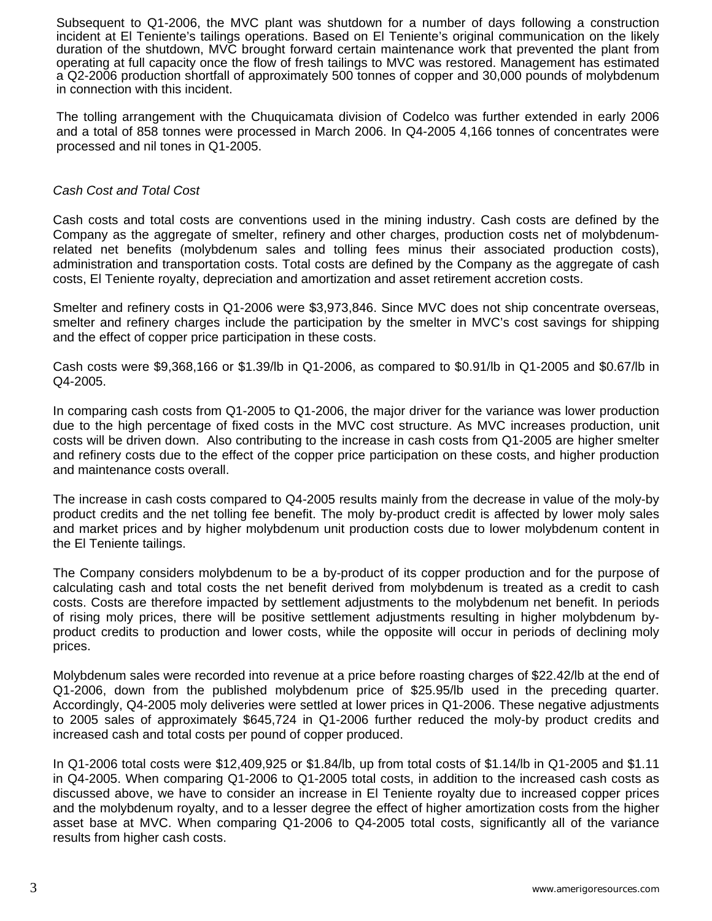Subsequent to Q1-2006, the MVC plant was shutdown for a number of days following a construction incident at El Teniente's tailings operations. Based on El Teniente's original communication on the likely duration of the shutdown, MVC brought forward certain maintenance work that prevented the plant from operating at full capacity once the flow of fresh tailings to MVC was restored. Management has estimated a Q2-2006 production shortfall of approximately 500 tonnes of copper and 30,000 pounds of molybdenum in connection with this incident.

The tolling arrangement with the Chuquicamata division of Codelco was further extended in early 2006 and a total of 858 tonnes were processed in March 2006. In Q4-2005 4,166 tonnes of concentrates were processed and nil tones in Q1-2005.

## *Cash Cost and Total Cost*

Cash costs and total costs are conventions used in the mining industry. Cash costs are defined by the Company as the aggregate of smelter, refinery and other charges, production costs net of molybdenumrelated net benefits (molybdenum sales and tolling fees minus their associated production costs), administration and transportation costs. Total costs are defined by the Company as the aggregate of cash costs, El Teniente royalty, depreciation and amortization and asset retirement accretion costs.

Smelter and refinery costs in Q1-2006 were \$3,973,846. Since MVC does not ship concentrate overseas, smelter and refinery charges include the participation by the smelter in MVC's cost savings for shipping and the effect of copper price participation in these costs.

Cash costs were \$9,368,166 or \$1.39/lb in Q1-2006, as compared to \$0.91/lb in Q1-2005 and \$0.67/lb in Q4-2005.

In comparing cash costs from Q1-2005 to Q1-2006, the major driver for the variance was lower production due to the high percentage of fixed costs in the MVC cost structure. As MVC increases production, unit costs will be driven down. Also contributing to the increase in cash costs from Q1-2005 are higher smelter and refinery costs due to the effect of the copper price participation on these costs, and higher production and maintenance costs overall.

The increase in cash costs compared to Q4-2005 results mainly from the decrease in value of the moly-by product credits and the net tolling fee benefit. The moly by-product credit is affected by lower moly sales and market prices and by higher molybdenum unit production costs due to lower molybdenum content in the El Teniente tailings.

The Company considers molybdenum to be a by-product of its copper production and for the purpose of calculating cash and total costs the net benefit derived from molybdenum is treated as a credit to cash costs. Costs are therefore impacted by settlement adjustments to the molybdenum net benefit. In periods of rising moly prices, there will be positive settlement adjustments resulting in higher molybdenum byproduct credits to production and lower costs, while the opposite will occur in periods of declining moly prices.

Molybdenum sales were recorded into revenue at a price before roasting charges of \$22.42/lb at the end of Q1-2006, down from the published molybdenum price of \$25.95/lb used in the preceding quarter. Accordingly, Q4-2005 moly deliveries were settled at lower prices in Q1-2006. These negative adjustments to 2005 sales of approximately \$645,724 in Q1-2006 further reduced the moly-by product credits and increased cash and total costs per pound of copper produced.

In Q1-2006 total costs were \$12,409,925 or \$1.84/lb, up from total costs of \$1.14/lb in Q1-2005 and \$1.11 in Q4-2005. When comparing Q1-2006 to Q1-2005 total costs, in addition to the increased cash costs as discussed above, we have to consider an increase in El Teniente royalty due to increased copper prices and the molybdenum royalty, and to a lesser degree the effect of higher amortization costs from the higher asset base at MVC. When comparing Q1-2006 to Q4-2005 total costs, significantly all of the variance results from higher cash costs.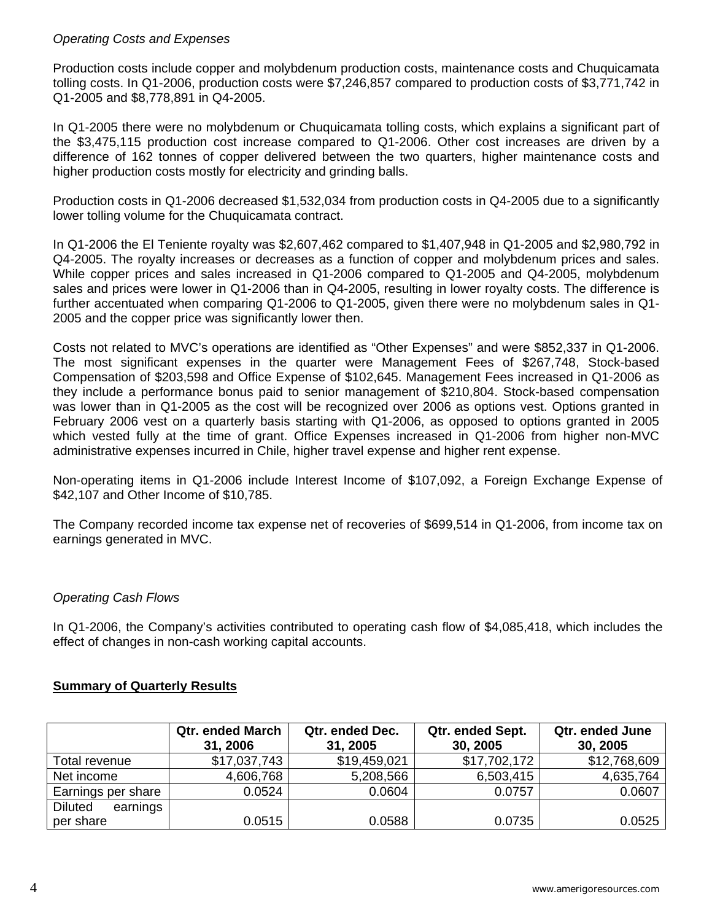# *Operating Costs and Expenses*

Production costs include copper and molybdenum production costs, maintenance costs and Chuquicamata tolling costs. In Q1-2006, production costs were \$7,246,857 compared to production costs of \$3,771,742 in Q1-2005 and \$8,778,891 in Q4-2005.

In Q1-2005 there were no molybdenum or Chuquicamata tolling costs, which explains a significant part of the \$3,475,115 production cost increase compared to Q1-2006. Other cost increases are driven by a difference of 162 tonnes of copper delivered between the two quarters, higher maintenance costs and higher production costs mostly for electricity and grinding balls.

Production costs in Q1-2006 decreased \$1,532,034 from production costs in Q4-2005 due to a significantly lower tolling volume for the Chuquicamata contract.

In Q1-2006 the El Teniente royalty was \$2,607,462 compared to \$1,407,948 in Q1-2005 and \$2,980,792 in Q4-2005. The royalty increases or decreases as a function of copper and molybdenum prices and sales. While copper prices and sales increased in Q1-2006 compared to Q1-2005 and Q4-2005, molybdenum sales and prices were lower in Q1-2006 than in Q4-2005, resulting in lower royalty costs. The difference is further accentuated when comparing Q1-2006 to Q1-2005, given there were no molybdenum sales in Q1- 2005 and the copper price was significantly lower then.

Costs not related to MVC's operations are identified as "Other Expenses" and were \$852,337 in Q1-2006. The most significant expenses in the quarter were Management Fees of \$267,748, Stock-based Compensation of \$203,598 and Office Expense of \$102,645. Management Fees increased in Q1-2006 as they include a performance bonus paid to senior management of \$210,804. Stock-based compensation was lower than in Q1-2005 as the cost will be recognized over 2006 as options vest. Options granted in February 2006 vest on a quarterly basis starting with Q1-2006, as opposed to options granted in 2005 which vested fully at the time of grant. Office Expenses increased in Q1-2006 from higher non-MVC administrative expenses incurred in Chile, higher travel expense and higher rent expense.

Non-operating items in Q1-2006 include Interest Income of \$107,092, a Foreign Exchange Expense of \$42,107 and Other Income of \$10,785.

The Company recorded income tax expense net of recoveries of \$699,514 in Q1-2006, from income tax on earnings generated in MVC.

# *Operating Cash Flows*

In Q1-2006, the Company's activities contributed to operating cash flow of \$4,085,418, which includes the effect of changes in non-cash working capital accounts.

# **Summary of Quarterly Results**

|                            | <b>Qtr. ended March</b><br>31, 2006 | Qtr. ended Dec.<br>31, 2005 | Qtr. ended Sept.<br>30, 2005 | Qtr. ended June<br>30, 2005 |
|----------------------------|-------------------------------------|-----------------------------|------------------------------|-----------------------------|
| Total revenue              | \$17,037,743                        | \$19,459,021                | \$17,702,172                 | \$12,768,609                |
| Net income                 | 4,606,768                           | 5,208,566                   | 6,503,415                    | 4,635,764                   |
| Earnings per share         | 0.0524                              | 0.0604                      | 0.0757                       | 0.0607                      |
| <b>Diluted</b><br>earnings |                                     |                             |                              |                             |
| per share                  | 0.0515                              | 0.0588                      | 0.0735                       | 0.0525                      |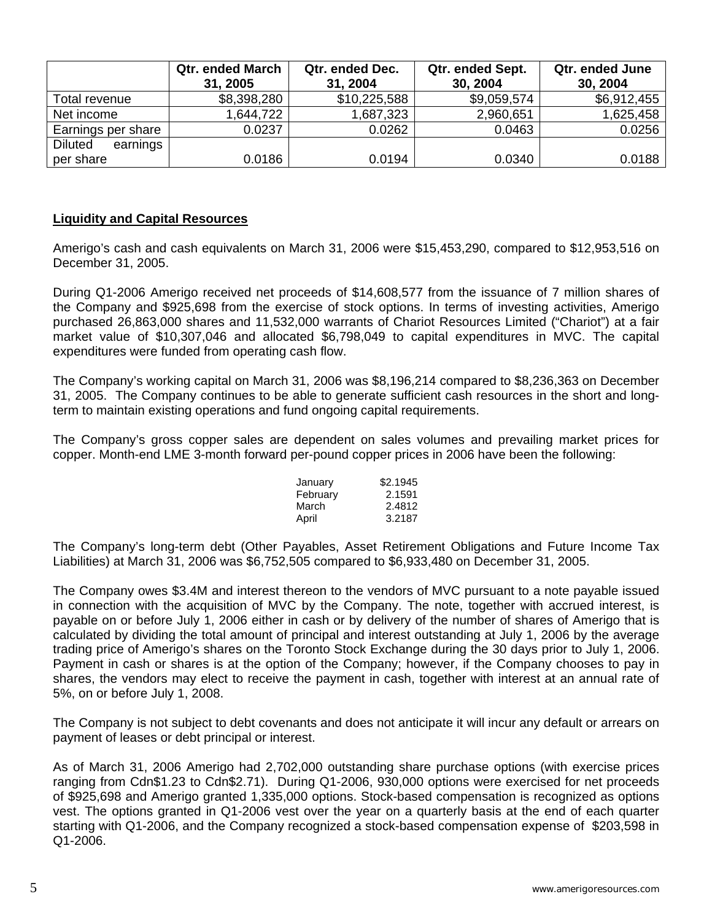|                            | <b>Qtr. ended March</b> | Qtr. ended Dec. | Qtr. ended Sept. | Qtr. ended June |
|----------------------------|-------------------------|-----------------|------------------|-----------------|
|                            | 31, 2005                | 31, 2004        | 30, 2004         | 30, 2004        |
| Total revenue              | \$8,398,280             | \$10,225,588    | \$9,059,574      | \$6,912,455     |
| Net income                 | 1,644,722               | 1,687,323       | 2,960,651        | 1,625,458       |
| Earnings per share         | 0.0237                  | 0.0262          | 0.0463           | 0.0256          |
| earnings<br><b>Diluted</b> |                         |                 |                  |                 |
| per share                  | 0.0186                  | 0.0194          | 0.0340           | 0.0188          |

### **Liquidity and Capital Resources**

Amerigo's cash and cash equivalents on March 31, 2006 were \$15,453,290, compared to \$12,953,516 on December 31, 2005.

During Q1-2006 Amerigo received net proceeds of \$14,608,577 from the issuance of 7 million shares of the Company and \$925,698 from the exercise of stock options. In terms of investing activities, Amerigo purchased 26,863,000 shares and 11,532,000 warrants of Chariot Resources Limited ("Chariot") at a fair market value of \$10,307,046 and allocated \$6,798,049 to capital expenditures in MVC. The capital expenditures were funded from operating cash flow.

The Company's working capital on March 31, 2006 was \$8,196,214 compared to \$8,236,363 on December 31, 2005. The Company continues to be able to generate sufficient cash resources in the short and longterm to maintain existing operations and fund ongoing capital requirements.

The Company's gross copper sales are dependent on sales volumes and prevailing market prices for copper. Month-end LME 3-month forward per-pound copper prices in 2006 have been the following:

| January  | \$2.1945 |  |  |
|----------|----------|--|--|
| February | 2.1591   |  |  |
| March    | 2.4812   |  |  |
| April    | 3.2187   |  |  |

The Company's long-term debt (Other Payables, Asset Retirement Obligations and Future Income Tax Liabilities) at March 31, 2006 was \$6,752,505 compared to \$6,933,480 on December 31, 2005.

The Company owes \$3.4M and interest thereon to the vendors of MVC pursuant to a note payable issued in connection with the acquisition of MVC by the Company. The note, together with accrued interest, is payable on or before July 1, 2006 either in cash or by delivery of the number of shares of Amerigo that is calculated by dividing the total amount of principal and interest outstanding at July 1, 2006 by the average trading price of Amerigo's shares on the Toronto Stock Exchange during the 30 days prior to July 1, 2006. Payment in cash or shares is at the option of the Company; however, if the Company chooses to pay in shares, the vendors may elect to receive the payment in cash, together with interest at an annual rate of 5%, on or before July 1, 2008.

The Company is not subject to debt covenants and does not anticipate it will incur any default or arrears on payment of leases or debt principal or interest.

As of March 31, 2006 Amerigo had 2,702,000 outstanding share purchase options (with exercise prices ranging from Cdn\$1.23 to Cdn\$2.71). During Q1-2006, 930,000 options were exercised for net proceeds of \$925,698 and Amerigo granted 1,335,000 options. Stock-based compensation is recognized as options vest. The options granted in Q1-2006 vest over the year on a quarterly basis at the end of each quarter starting with Q1-2006, and the Company recognized a stock-based compensation expense of \$203,598 in Q1-2006.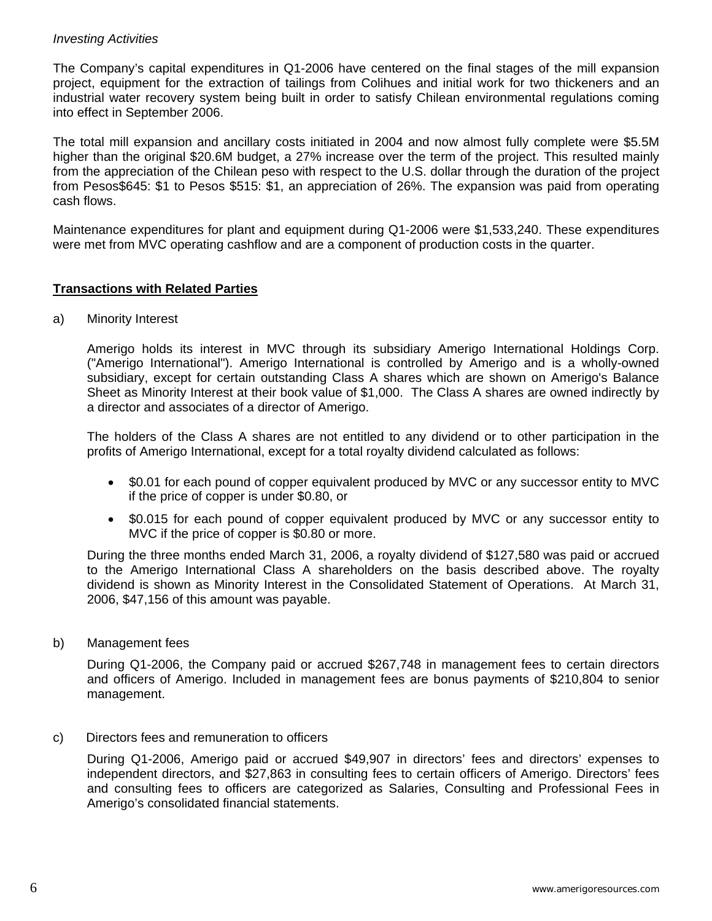# *Investing Activities*

The Company's capital expenditures in Q1-2006 have centered on the final stages of the mill expansion project, equipment for the extraction of tailings from Colihues and initial work for two thickeners and an industrial water recovery system being built in order to satisfy Chilean environmental regulations coming into effect in September 2006.

The total mill expansion and ancillary costs initiated in 2004 and now almost fully complete were \$5.5M higher than the original \$20.6M budget, a 27% increase over the term of the project. This resulted mainly from the appreciation of the Chilean peso with respect to the U.S. dollar through the duration of the project from Pesos\$645: \$1 to Pesos \$515: \$1, an appreciation of 26%. The expansion was paid from operating cash flows.

Maintenance expenditures for plant and equipment during Q1-2006 were \$1,533,240. These expenditures were met from MVC operating cashflow and are a component of production costs in the quarter.

### **Transactions with Related Parties**

a) Minority Interest

Amerigo holds its interest in MVC through its subsidiary Amerigo International Holdings Corp. ("Amerigo International"). Amerigo International is controlled by Amerigo and is a wholly-owned subsidiary, except for certain outstanding Class A shares which are shown on Amerigo's Balance Sheet as Minority Interest at their book value of \$1,000. The Class A shares are owned indirectly by a director and associates of a director of Amerigo.

The holders of the Class A shares are not entitled to any dividend or to other participation in the profits of Amerigo International, except for a total royalty dividend calculated as follows:

- \$0.01 for each pound of copper equivalent produced by MVC or any successor entity to MVC if the price of copper is under \$0.80, or
- \$0.015 for each pound of copper equivalent produced by MVC or any successor entity to MVC if the price of copper is \$0.80 or more.

During the three months ended March 31, 2006, a royalty dividend of \$127,580 was paid or accrued to the Amerigo International Class A shareholders on the basis described above. The royalty dividend is shown as Minority Interest in the Consolidated Statement of Operations. At March 31, 2006, \$47,156 of this amount was payable.

b) Management fees

During Q1-2006, the Company paid or accrued \$267,748 in management fees to certain directors and officers of Amerigo. Included in management fees are bonus payments of \$210,804 to senior management.

c) Directors fees and remuneration to officers

During Q1-2006, Amerigo paid or accrued \$49,907 in directors' fees and directors' expenses to independent directors, and \$27,863 in consulting fees to certain officers of Amerigo. Directors' fees and consulting fees to officers are categorized as Salaries, Consulting and Professional Fees in Amerigo's consolidated financial statements.